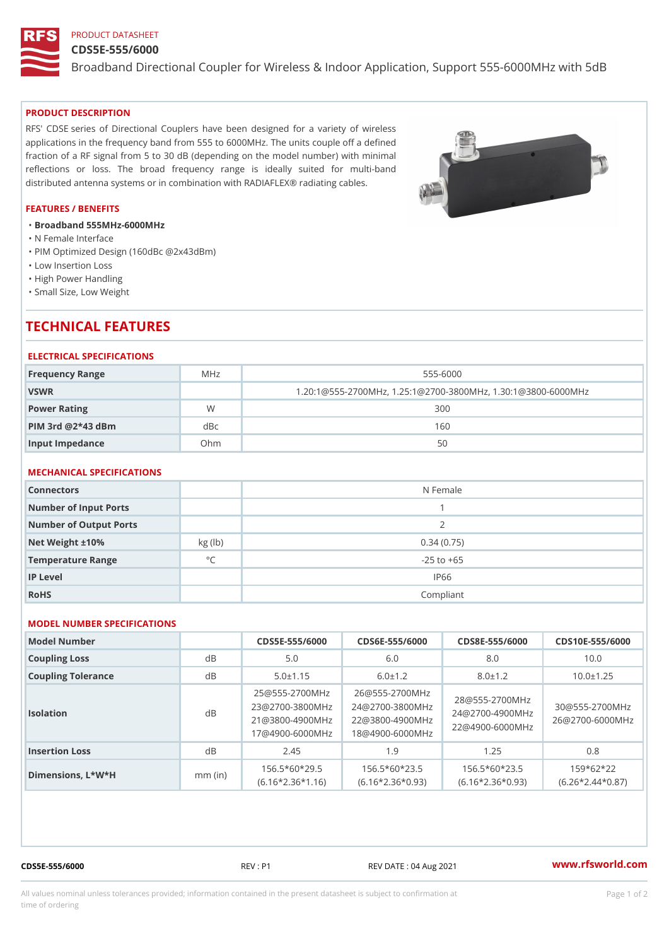## PRODUCT DATASHEET

### CDS5E-555/6000

Broadband Directional Coupler for Wireless & Indoor Application, Supp

#### PRODUCT DESCRIPTION

RFS' CDSE series of Directional Couplers have been designed for a variety of wireless applications in the frequency band from 555 to 6000MHz. The units couple off a defined fraction of a RF signal from 5 to 30 dB (depending on the model number) with minimal reflections or loss. The broad frequency range is ideally suited for multi-band distributed antenna systems or in combination with RADIAFLEX® radiating cables.

### FEATURES / BENEFITS

"Broadband 555MHz-6000MHz

- "N Female Interface
- "PIM Optimized Design (160dBc @2x43dBm)
- "Low Insertion Loss
- "High Power Handling
- "Small Size, Low Weight

# TECHNICAL FEATURES

### ELECTRICAL SPECIFICATIONS

| Frequency Range       | M H z     | $555 - 6000$                                          |  |
|-----------------------|-----------|-------------------------------------------------------|--|
| VSWR                  |           | $1.20:1@555-2700MHz, 1.25:1@2700-3800MHz, 1.30:1@380$ |  |
| Power Rating          | W         | 300                                                   |  |
| $PHM$ 3rd $@2*43$ dBm | $d$ B $c$ | 160                                                   |  |
| Input Impedance       | Ohm       | 50                                                    |  |

## MECHANICAL SPECIFICATIONS

| Connectors             |              | N Female       |
|------------------------|--------------|----------------|
| Number of Input Ports  |              |                |
| Number of Output Ports |              | 2              |
| Net Weight $\pm 10\%$  | kg (lb)      | 0.34(0.75)     |
| Temperature Range      | $^{\circ}$ C | $-25$ to $+65$ |
| IP Level               |              | IP66           |
| RoHS                   |              | Compliant      |

### MODEL NUMBER SPECIFICATIONS

| Model Number       |           |                |                                                              |               | $CDS5E - 555/6000CDS6E - 555/6000CDS8E - 555/60000DS10E - 555/6000D$                                                                                                                                                                   |  |
|--------------------|-----------|----------------|--------------------------------------------------------------|---------------|----------------------------------------------------------------------------------------------------------------------------------------------------------------------------------------------------------------------------------------|--|
| Coupling Loss      | $d \, B$  | 5.0            | 6.0                                                          | 8.0           | 10.0                                                                                                                                                                                                                                   |  |
| Coupling Tolerance | d B       | $5.0 \pm 1.15$ | $6.0 \pm 1.2$                                                | $8.0 \pm 1.2$ | $10.0 \pm 1.25$                                                                                                                                                                                                                        |  |
| Isolation          | d B       |                |                                                              |               | 25 @ 555 - 2700 M H26 @ 555 - 2700 M H z<br>23 @ 2700 - 3800 M 2H z @ 2700 - 3800 M H z @ 555 - 2700 M H z<br>21 @ 3800 - 4900 M 2H 2 @ 3800 - 4900 M H z @ 2700 - 4900 M H z<br>17 @ 4900 - 6000 M H & @ 4900 - 6000 M H Z @ 4900 - 6 |  |
| Insertion Loss     | $d \, B$  | 2.45           | 1.9                                                          | 1.25          | 0.8                                                                                                                                                                                                                                    |  |
| Dimensions, L*W*H  | $mm$ (in) |                | $156.5*60*295$ $156.5*60*235$ $156.5*60*235$ $5$ $159*62*22$ |               | (6.16*2.36*1,16)(6.16*2.36*0,93)(6.16*2.36*0,93)(6.26*2.44*0, 37)                                                                                                                                                                      |  |

CDS5E-555/6000 REV : P1 REV DATE : 04 Aug 2021 [www.](https://www.rfsworld.com)rfsworld.com